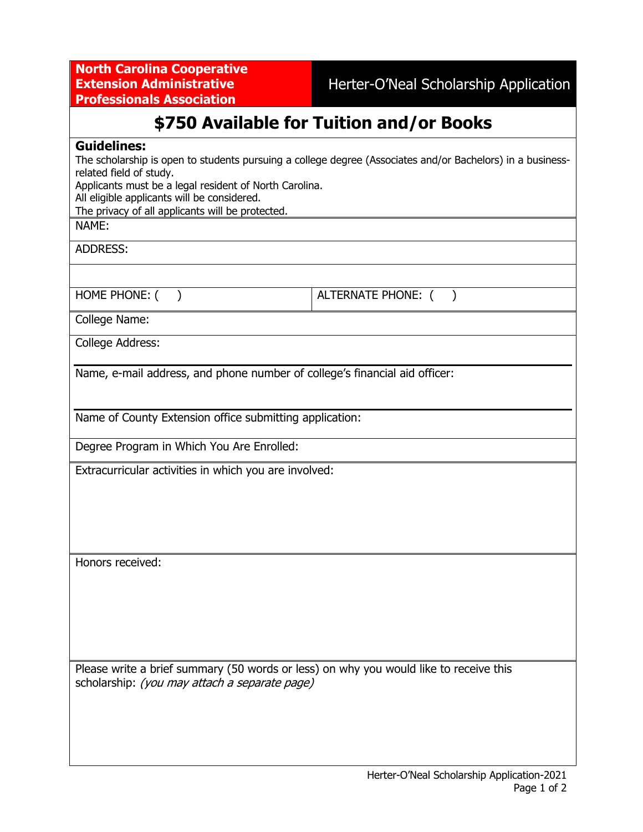**North Carolina Cooperative Extension Administrative Professionals Association**

Herter-O'Neal Scholarship Application

# **\$750 Available for Tuition and/or Books**

#### **Guidelines:**

The scholarship is open to students pursuing a college degree (Associates and/or Bachelors) in a businessrelated field of study.

Applicants must be a legal resident of North Carolina.

All eligible applicants will be considered.

The privacy of all applicants will be protected.

### NAME:

ADDRESS:

HOME PHONE: ( ) ALTERNATE PHONE: ( )

College Name:

College Address:

Name, e-mail address, and phone number of college's financial aid officer:

Name of County Extension office submitting application:

Degree Program in Which You Are Enrolled:

Extracurricular activities in which you are involved:

Honors received:

Please write a brief summary (50 words or less) on why you would like to receive this scholarship: (you may attach a separate page)